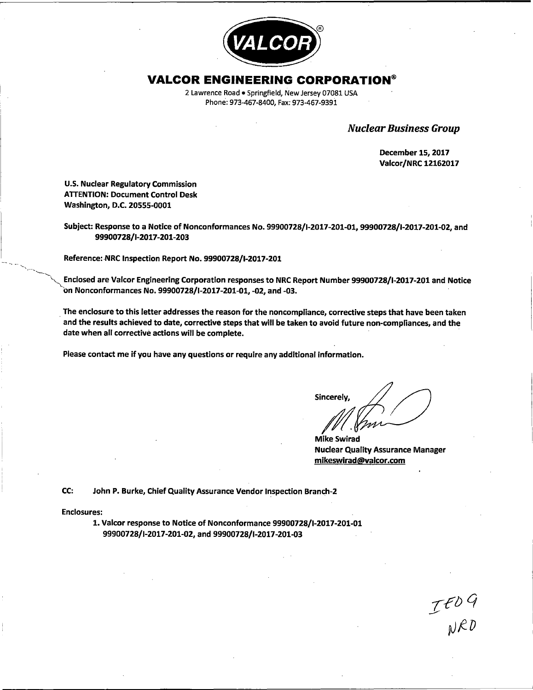

# **VALCOR ENGINEERING CORPORATION®**

2 Lawrence Road• Springfield, New Jersey 07081 USA Phone: 973-467-8400, Fax: 973-467-9391

Nuclear Business Group

December 15, 2017 Valcor/NRC 12162017

U.S. Nuclear Regulatory Commission **ATTENTION: Document Control Desk** Washington, D.C. 20555-0001

Subject: Response to a Notice of Nonconformances No. 99900728/1-2017-201-01, 99900728/1-2017-201-02, and 99900728/1-2017-201-203

Reference: NRC Inspection Report No. 99900728/I-2017-201

Enclosed are Valcor Engineering Corporation responses to NRC Report Number 99900728/I-2017-201 and Notice bn Nonconformances No. 99900728/1-2017-201-01, -02, and -03. ·

. The enclosure to this letter addresses the reason for the noncompliance, corrective steps that have been taken and the results achieved to date, corrective steps that will be taken to avoid future non-compliances, and the date when all corrective actions will be complete.

Please contact me if you have any questions or require any additional information.

**Sincerely** 

**Mike Swirad** Nuclear Quality Assurance Manager **mikeswirad@valcor.com** 

IFD9<br>NRD

CC: John P. Burke, Chief Quality Assurance Vendor Inspection Branch-2

Enclosures:

'-...\_

1. Valcor response to Notice of Nonconformance 99900728/1-2017-201-01 99900728/1-2017-201-02, and 99900728/1-2017-201-03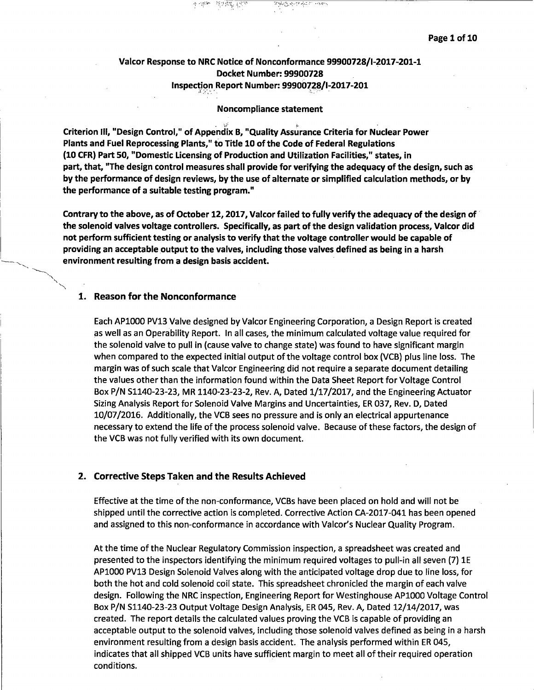# Valcor Response to NRC Notice of Nonconformance 99900728/1-2017-201-1 Docket Number: 99900728 Inspection Report Number: 99900728/1-2017-201 ;i/,".' *:,.>··* .

 $~\gamma + \gamma_{1} \gamma_{2} \gamma_{3} + \gamma_{1} \gamma_{4} \gamma_{5} + \gamma_{1} \gamma_{6} \gamma_{7} \gamma_{8} + \gamma_{1} \gamma_{1} \gamma_{1} \gamma_{2} \gamma_{3} + \gamma_{1} \gamma_{2} \gamma_{3} \gamma_{4} \gamma_{5} + \gamma_{1} \gamma_{2} \gamma_{3} \gamma_{4} \gamma_{5} \gamma_{6} \gamma_{7} \gamma_{8} \gamma_{9} \gamma_{10} \gamma_{11} \gamma_{12} \gamma_{13} \gamma_{14} \gamma_{15} \gamma_{16} \gamma_{17} \gamma_{18} \gamma_{19} \gamma_{10}$ 

#### Noncompliance statement

Criterion III, "Design Control," of Appendix B, "Quality Assurance Criteria for Nuclear Power Plants and Fuel Reprocessing Plants," to Title 10 of the Code of Federal Regulations (10 CFR) Part 50, "Domestic Licensing of Production and Utilization Facilities," states, in part, that, "The design control measures shall provide for verifying the adequacy of the design, such as by the performance of design reviews, by the use of alternate or simplified calculation methods, or by the performance of a suitable testing program."

**Contrary to the above, as of October 12, 2017, Valcor failed to fully verify the adequacy of the design of the solenoid valves voltage controllers. Specifically, as part of the design validation process, Valcor did not perform sufficient testing or analysis to verify that the voltage controller would be capable of providing an acceptable output to the valves, including those valves defined as being in a harsh environment resulting from a design basis accident.** 

#### **1. Reason for the Nonconformance**

Each APlOOO PV13 Valve designed by Valcor Engineering Corporation, a Design Report is created as well as an Operability Report. In all cases, the minimum calculated voltage value required for the solenoid valve to pull in (cause valve to change state) was found to have significant margin when compared to the expected initial output of the voltage control box (VCB) plus line loss. The margin was of such scale that Valcor Engineering did not require a separate document detailing the values other than the information found within the Data Sheet Report for Voltage Control Box P/N S1140-23-23, MR 1140-23-23-2, Rev. A, Dated 1/17/2017, and the Engineering Actuator Sizing Analysis Report for Solenoid Valve Margins and Uncertainties, ER 037, Rev. D, Dated 10/07/2016. Additionally, the VCB sees no pressure and is only an electrical appurtenance necessary to extend the life of the process solenoid valve. Because of these factors, the design of the VCB was not fully verified with its own document.

#### **2. Corrective Steps Taken and the Results Achieved**

Effective at the time of the non-conformance, VCBs have been placed on hold and will not be shipped until the corrective action is completed. Corrective Action CA-2017-041 has been opened and assigned to this non-conformance in accordance with Valcor's Nuclear Quality Program.

At the time of the Nuclear Regulatory Commission inspection, a spreadsheet was created and presented to the inspectors identifying the minimum required voltages to pull-in all seven (7) lE APlOOO PV13 Design Solenoid Valves along with the anticipated voltage drop due to line loss, for both the hot and cold solenoid coil state. This spreadsheet chronicled the margin of each valve design. Following the NRC inspection, Engineering Report for Westinghouse APlOOO Voltage Control Box P/N Sl140-23-23 Output Voltage Design Analysis, ER 045, Rev. A, Dated 12/14/2017, was created. The report details the calculated values proving the VCB is capable of providing an acceptable output to the solenoid valves, including those solenoid valves defined as being in a harsh environment resulting from a design basis accident. The analysis performed within ER 045, indicates that all shipped VCB units have sufficient margin to meet all of their required operation conditions.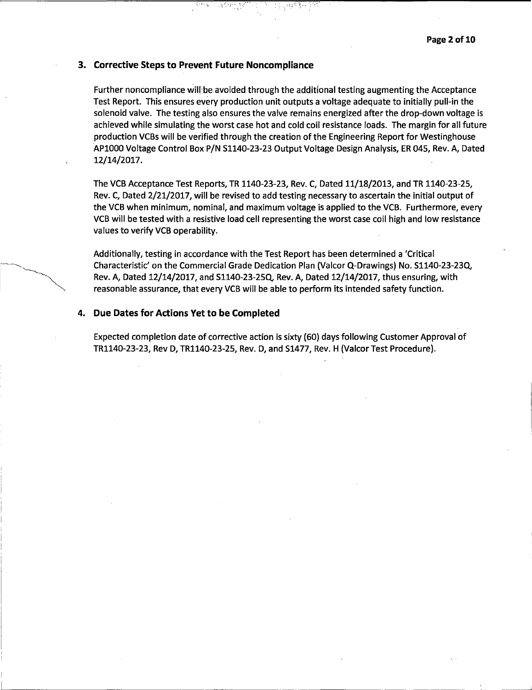$\overline{\phantom{a}}$  .  $\overline{\phantom{a}}$ 

# **3. Corrective Steps to Prevent Future Noncompliance**

Further noncompliance will be avoided through the additional testing augmenting the Acceptance Test Report. This ensures every production unit outputs a voltage adequate to initially pull-in the solenoid valve. The testing also ensures the valve remains energized after the drop-down voltage is achieved while simulating the worst case hot and cold coil resistance loads. The margin for all future production VCBs will be verified through the creation of the Engineering Report for Westinghouse ·APlOOO Voltage Control Box P/N 51140-23-23 Output Voltage Design Analysis, ER 045, Rev. A, Dated 12/14/2017.

• *i;* ~.' ·:. ,.-··

The VCB Acceptance Test Reports, TR 1140-23-23, Rev. C, Dated 11/18/2013, and TR 1140-23-25, Rev. C, Dated 2/21/2017, will be revised to add testing necessary to ascertain the initial output of the VCB when minimum, nominal, and maximum voltage is applied to the VCB. Furthermore, every VCB will be tested with a resistive load cell representing the worst case coil high and low resistance values to verify VCB operability.

Additionally, testing in accordance with the Test Report has been determined a 'Critical Characteristic' on the Commercial Grade Dedication Plan (Valcor Q-Drawings) No. 51140-23-23Q, Rev. A, Dated 12/14/2017, and 51140-23-25Q, Rev. A, Dated 12/14/2017, thus ensuring, with reasonable assurance, that every VCB will be able to perform its intended safety function.

### **4. Due Dates for Actions Yet to be Completed**

Expected completion date of corrective action is sixty (60) days following Customer Approval of TR1140-23-23, Rev D, TR1140-23-25, Rev. D, and 51477, Rev. H (Valcor Test Procedure).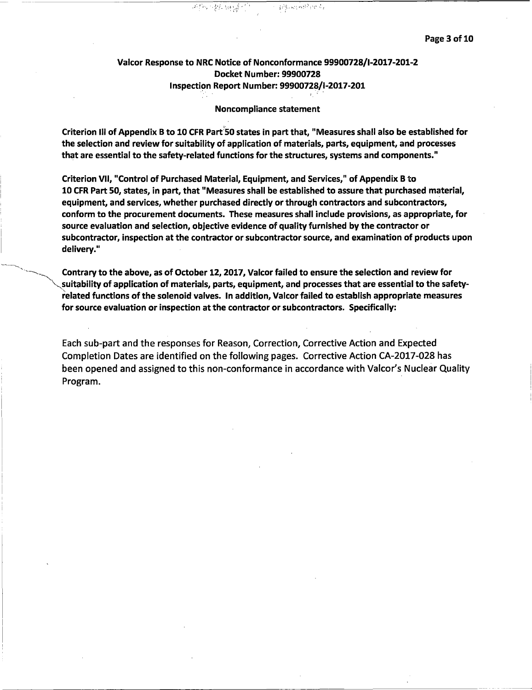# Valcor Response to NRC Notice of Nonconformance 99900728/1-2017-201-2 Docket Number: 99900728 **Inspection Report Number: 99900728/I-2017-201**

 $\frac{1}{2} \mathcal{L}^{(3)}_{\mathcal{M}} \leftarrow \mathcal{L}^{(1)}_{\mathcal{M}} \left( \mathcal{H}^{(1,1,2)}_{\mathcal{M}} \right) \mathcal{L}^{(2,1,2)}_{\mathcal{M}}$ 

귀약 날리만

## Noncompliance statement

Criterion Ill of Appendix B to 10 CFR Part:50 states in part that, "Measures shall also be established for the selection and review for suitability of application of materials, parts, equipment, and processes that are essential to the safety-related functions for the structures, systems and components."

Criterion VII, "Control of Purchased Material, Equipment, and Services," of Appendix B to 10 CFR Part 50, states, in part, that "Measures shall be established to assure that purchased material, equipment, and services, whether purchased directly or through contractors and subcontractors, conform to the procurement documents. These measures shall include provisions, as appropriate, for source evaluation and selection, objective evidence of quality furnished by the contractor or subcontractor, inspection at the contractor or subcontractor source, and examination of products upon delivery."

Contrary to the above, as of October 12, 2017, Valcor failed to ensure the selection and review for suitability of application of materials, parts, equipment, and processes that are essential to the safetyrelated functions of the solenoid valves. In addition, Valcor failed to establish appropriate measures for source evaluation or inspection at the contractor or subcontractors. Specifically:

Each sub-part and the responses for Reason, Correction, Corrective Action and Expected Completion Dates are identified on the following pages. Corrective Action CA-2017-028 has been opened and assigned to this non-conformance in accordance with Valcor's Nuclear Quality Program.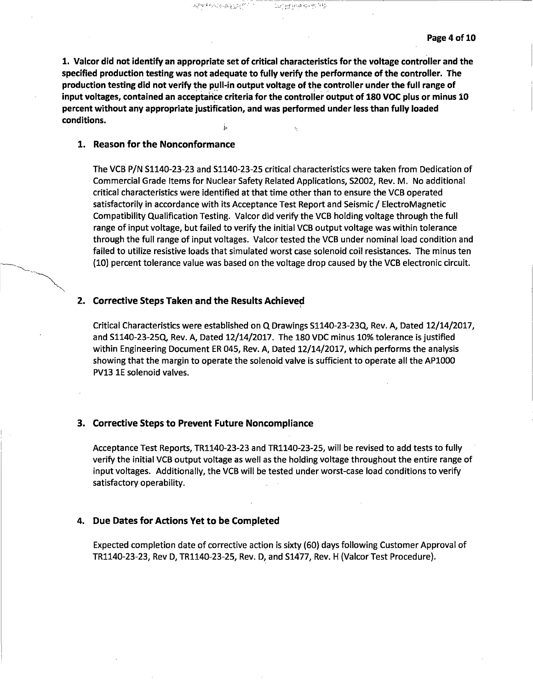**1. Valcor did not identify an appropriate set of critical characteristics for the voltage controller and the specified production testing was not adequate to fully verify the performance of the controller. The production testing did not verify the pull-in output voltage of the controller under the full range of**  input voltages, contained an acceptance criteria for the controller output of 180 VOC plus or minus 10 **percent without any appropriate justification, and was performed under less than fully loaded conditions.** 

유민혈관취화면 구멍

 $A_{\mathcal{H}_1}^{(1,2,2,2,3)} \triangleq \sum_{i=1}^n \sum_{j=1}^n \sum_{j=1}^n \sum_{j=1}^n \sum_{j=1}^n \sum_{j=1}^n \sum_{j=1}^n \sum_{j=1}^n \sum_{j=1}^n \sum_{j=1}^n \sum_{j=1}^n \sum_{j=1}^n \sum_{j=1}^n \sum_{j=1}^n \sum_{j=1}^n \sum_{j=1}^n \sum_{j=1}^n \sum_{j=1}^n \sum_{j=1}^n \sum_{j=1}^n \sum_{j=1}^n \sum_{j=1$ 

# **1. Reason for the Nonconformance**

The VCB P/N S1140-23-23 and S1140-23-25 critical characteristics were taken from Dedication of Commercial Grade Items for Nuclear Safety Related Applications, S2002, Rev. M. No additional critical characteristics were identified at that time other than to ensure the VCB operated satisfactorily in accordance with its Acceptance Test Report and Seismic/ ElectroMagnetic Compatibility Qualification Testing. Valcor did verify the VCB holding voltage through the full range of input voltage, but failed to verify the initial VCB output voltage was within tolerance through the full range of input voltages. Valcor tested the VCB under nominal load condition and failed to utilize resistive loads that simulated worst case solenoid coil resistances. The minus ten (10) percent tolerance value was based on the voltage drop caused by the VCB electronic circuit.

#### **2. Corrective Steps Taken and the Results Achieved**

Critical Characteristics were established on Q Drawings Sll40-23-23Q, Rev. A, Dated 12/14/2017, and Sl140-23-25Q, Rev. A, Dated 12/14/2017. The 180 VDC minus 10% tolerance is justified within Engineering Document ER 045, Rev. A, Dated 12/14/2017, which performs the analysis showing that the margin to operate the solenoid valve is sufficient to operate all the APlOOO PV13 lE solenoid valves.

#### **3. Corrective Steps to Prevent Future Noncompliance**

Acceptance Test Reports, TR1140-23-23 and TR1140-23-25, will be revised to add tests to fully verify the initial VCB output voltage as well as the holding voltage throughout the entire range of input voltages. Additionally, the VCB will be tested under worst-case load conditions to verify satisfactory operability.

#### **4. Due Dates for Actions Yet to be Completed**

Expected completion date of corrective action is sixty (60) days following Customer Approval of TR1140-23-23, Rev D, TR1140-23-25, Rev. D, and S1477, Rev. H (Valcor Test Procedure).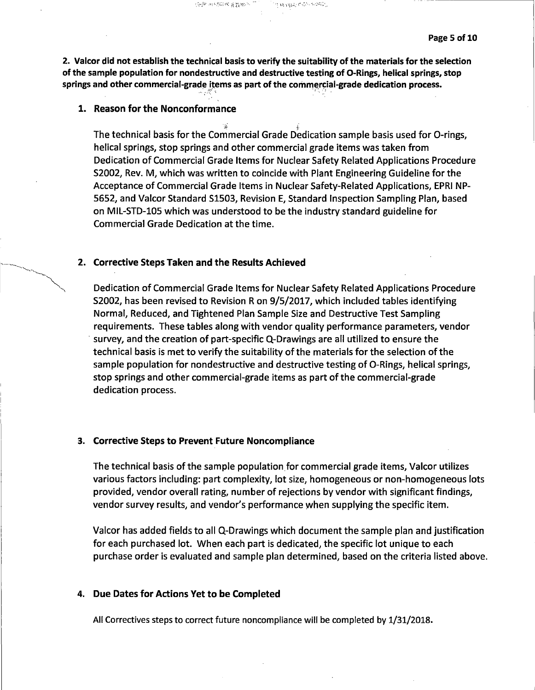**2. Valcor did not establish the technical basis to verify the suitability of the materials for the selection of the sample population for nondestructive and destructive testing of 0-Rings, helical springs, stop**  springs and other commercial-grade items as part of the commercial-grade dedication process.

در ۱۹۵۶ میلادی (۱۳۵۲ میلادی)<br>در افغانستان استان استان (۱۳۵۲ میلادی)

化弹性磷酸作用数

.•. ; --~:· •; ., ·, ~-) '

# **1. Reason for the Nonconformance**

 $\mathbb{R}$  for  $\mathbb{R}$ The technical basis for the Commercial Grade Dedication sample basis used for 0-rings, helical springs, stop springs and other commercial grade items was taken from Dedication of Commercial Grade Items for Nuclear Safety Related Applications Procedure 52002, Rev. M, which was written to coincide with Plant Engineering Guideline for the Acceptance of Commercial Grade Items in Nuclear Safety-Related Applications, EPRI NP-5652, and Valcor Standard 51503, Revision E, Standard Inspection Sampling Plan, based on MIL-STD-105 which was understood to be the industry standard guideline for Commercial Grade Dedication at the time.

# **2. Corrective Steps Taken and the Results Achieved**

Dedication of Commercial Grade Items for Nuclear Safety Related Applications Procedure 52002, has been revised to Revision Ron 9/5/2017, which included tables identifying Normal, Reduced, and Tightened Plan Sample Size and Destructive Test Sampling requirements. These tables along with vendor quality performance parameters, vendor · survey, and the creation of part-specific Q-Drawings are all utilized to ensure the technical basis is met to verify the suitability of the materials for the selection of the sample population for nondestructive and destructive testing of 0-Rings, helical springs, stop springs and other commercial-grade items as part of the commercial-grade dedication process.

# **3. Corrective Steps to Prevent Future Noncompliance**

The technical basis of the sample population for commercial graqe items, Valcor utilizes various factors including: part complexity, lot size, homogeneous or non-homogeneous lots provided, vendor overall rating, number of rejections by vendor with significant findings, vendor survey results, and vendor's performance when supplying the specific item.

Valcor has added fields to all Q-Drawings which document the sample plan and justification for each purchased lot. When each part is dedicated, the specific lot unique to each purchase order is evaluated and sample plan determined, based on the criteria listed above.

# **4. Due Dates for Actions Yet to be Completed**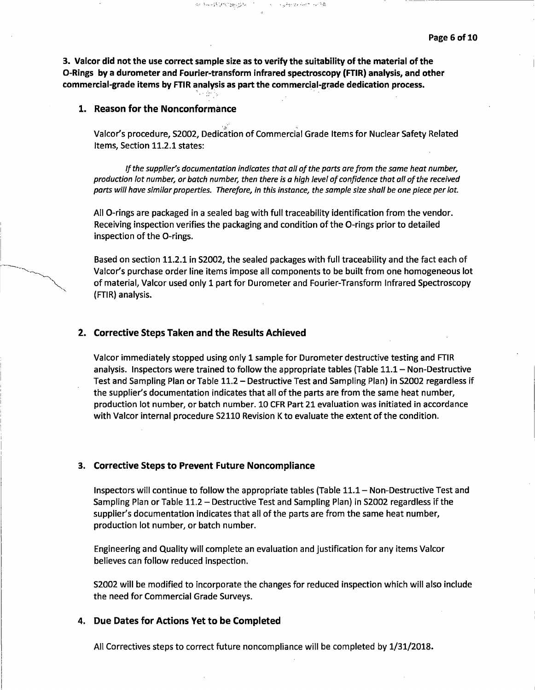**3. Valcor did not the use correct sample size as to verify the suitability of the material of the 0-Rings by a durometer and Fourier-transform infrared spectroscopy (FTIR) analysis, and other commercial-grade items by FTIR analysis as part the commercial-grade dedication process.** <sup>~</sup>. ' .

 $\label{eq:G1} \mathcal{L}_{\mathcal{P}}(\mathcal{N}) = \mathcal{N}_{\mathcal{P}}(\mathcal{N}) = \mathcal{N}_{\mathcal{P}}(\mathcal{N}) = \mathcal{N}_{\mathcal{P}}(\mathcal{N}_{\mathcal{P}}) = \mathcal{N}_{\mathcal{P}}(\mathcal{N}_{\mathcal{P}})$ 

# **1. Reason for the Nonconformance**

Valcor's procedure, S2002, Dedication of Commercial Grade Items for Nuclear Safety Related Items, Section 11.2.1 states:

医复动性性肌动脉 化纤维

*If the supplier's documentation indicates that all of the parts are from the same heat number, production lot number, or batch number, then there is a high level of confidence that all of the received parts* will *have similar properties. Therefore, in this instance, the sample size shall be one piece per lot.* 

All 0-rings are packaged in a sealed bag with full traceability identification from the vendor. Receiving inspection verifies the packaging and condition of the 0-rings prior to detailed inspection of the 0-rings.

Based on section 11.2.1 in 52002, the sealed packages with full traceability and the fact each of Valcor's purchase order line items impose all components to be built from one homogeneous lot of material, Valcor used only 1 part for Durometer and Fourier-Transform Infrared Spectroscopy (FTIR) analysis.

# **2. Corrective Steps Taken and the Results Achieved**

Valcor immediately stopped using only 1 sample for Durometer destructive testing and FTIR analysis. Inspectors were trained to follow the appropriate tables (Table 11.1 - Non-Destructive Test and Sampling Plan or Table 11.2- Destructive Test and Sampling Plan) in 52002 regardless if the supplier's documentation indicates that all of the parts are from the same heat number, production lot number, or batch number. 10 CFR Part 21 evaluation was initiated in accordance with Valcor internal procedure 52110 Revision K to evaluate the extent of the condition.

#### **3. Corrective Steps to Prevent Future Noncompliance**

Inspectors will continue to follow the appropriate tables (Table 11.1- Non-Destructive Test and Sampling Plan or Table 11.2 - Destructive Test and Sampling Plan) in S2002 regardless if the supplier's documentation indicates that all of the parts are from the same heat number, production lot number, or batch number.

Engineering and Quality will complete an evaluation and justification for any items Valcor believes can follow reduced inspection.

52002 will be modified to incorporate the changes for reduced inspection which will also include the need for Commercial Grade Surveys.

## **4. Due Dates for Actions Yet to be Completed**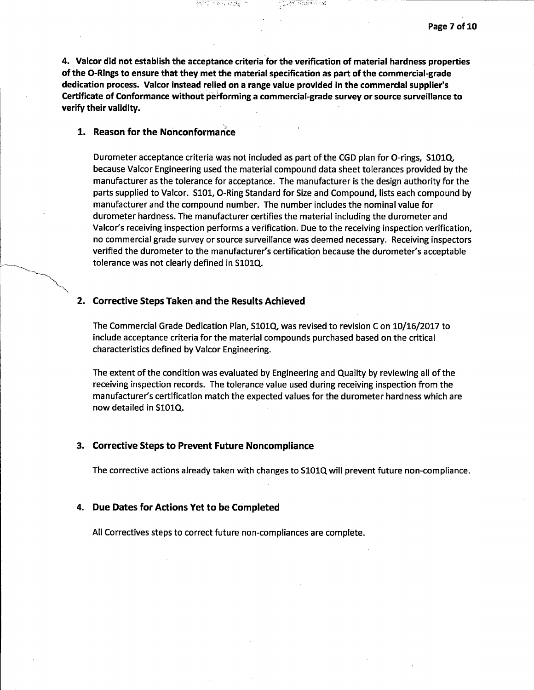**4. Valcor did not establish the acceptance criteria for the verification of material hardness properties of the 0-Rings to ensure that they met the material specification as part of the commercial-grade dedication process. Valcor instead relied on a range value provided** in **the commercial supplier's Certificate of Conformance without perl'orming a commercial-grade survey or source surveillance to verify their validity.** 

सङ्करणात्मक

的现在分词欢迎

# **1. Reason for the Nonconformance**

Durometer acceptance criteria was not included as part of the CGD plan for O-rings, S101Q, because Valcor Engineering used the material compound data sheet tolerances provided by the manufacturer as the tolerance for acceptance. The manufacturer is the design authority for the parts supplied to Valcor. SlOl, 0-Ring Standard for Size and Compound, lists each compound by manufacturer and the compound number. The number includes the nominal value for durometer hardness. The manufacturer certifies the material including the durometer and Valcor's receiving inspection performs a verification. Due to the receiving inspection verification, no commercial grade survey or source surveillance was deemed necessary. Receiving inspectors verified the durometer to the manufacturer's certification because the durometer's acceptable tolerance was not clearly defined in SlOlQ.

### **2. Corrective Steps Taken and the Results Achieved**

The Commercial Grade Dedication Plan, SlOlQ, was revised to revision Con 10/16/2017 to include acceptance criteria for the material compounds purchased based on the critical characteristics defined by Valcor Engineering.

The extent of the condition was evaluated by Engineering and Quality by reviewing all of the receiving inspection records. The tolerance value used during receiving inspection from the manufacturer's certification match the expected values for the durometer hardness which are now detailed in S101Q.

#### **3. Corrective Steps to Prevent Future Noncompliance**

The corrective actions already taken with changes to SlOlQ will prevent future non-compliance.

#### **4. Due Dates for Actions Yet to be Completed**

All Correctives steps to correct future non-compliances are complete.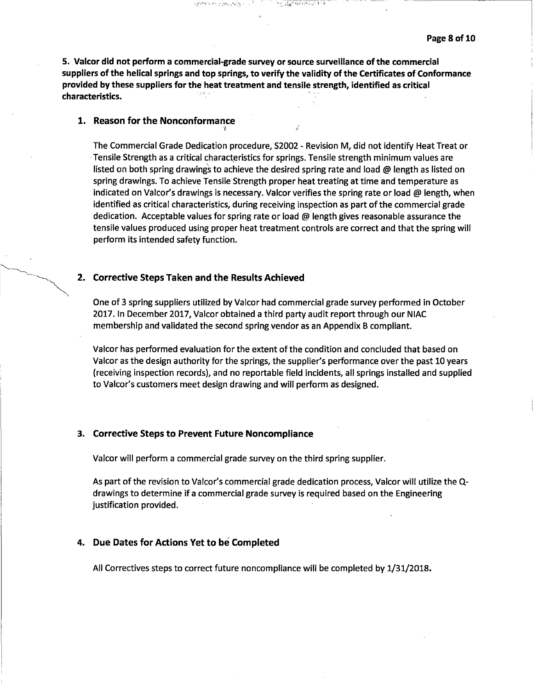**5. Valcor did not perform a commercial-grade survey or source surveillance of the commercial suppliers of the helical springs and top springs, to verify the validity of the Certificates of Conformance provided by these suppliers for the heat treatment and tensile strength, identified as critical characteristics.** ' ·

 $\sim 10^{-2}$ 

<u>negovo pri</u>la ne

 $\epsilon$   $\frac{1}{2}$  ,  $\epsilon$  ,  $\epsilon$  ,  $\epsilon$  ,  $\epsilon$  ,  $\epsilon$  ,  $\epsilon$  ,  $\epsilon$  ,  $\epsilon$  ,  $\epsilon$  ,  $\epsilon$  ,  $\epsilon$  ,  $\epsilon$  ,  $\epsilon$  ,  $\epsilon$  ,  $\epsilon$  ,  $\epsilon$  ,  $\epsilon$  ,  $\epsilon$  ,  $\epsilon$  ,  $\epsilon$  ,  $\epsilon$  ,  $\epsilon$  ,  $\epsilon$  ,  $\epsilon$  ,  $\epsilon$  ,  $\epsilon$  ,  $\epsilon$  ,  $\epsilon$  ,  $\epsilon$  ,

# **1. Reason for the Nonconformance**

The Commercial Grade Dedication procedure, S2002 - Revision M, did not identify Heat Treat or Tensile Strength as a critical characteristics for springs. Tensile strength minimum values are listed on both spring drawings to achieve the desired spring rate and load  $\omega$  length as listed on spring drawings. To achieve Tensile Strength proper heat treating at time and temperature as indicated on Valcor's drawings is necessary. Valcor verifies the spring rate or load  $\omega$  length, when identified as critical characteristics, during receiving inspection as part of the commercial grade dedication. Acceptable values for spring rate or load @ length gives reasonable assurance the tensile values produced using proper heat treatment controls are correct and that the spring will perform its intended safety function.

### **2. Corrective Steps Taken and the Results Achieved**

One of 3 spring suppliers utilized by Valcor had commercial grade survey performed in October 2017. In December 2017, Valcor obtained a third party audit report through our NIAC membership and validated the second spring vendor as an Appendix B compliant.

Valcor has performed evaluation for the extent of the condition and concluded that based on Valcor as the design authority for the springs, the supplier's performance over the past 10 years (receiving inspection records), and no reportable field incidents, all springs installed and supplied to Valcor's customers meet design drawing and will perform as designed.

#### **3. Corrective Steps to Prevent Future Noncompliance**

Valcor will perform a commercial grade survey on the third spring supplier.

As part of the revision to Valcor's commercial grade dedication process, Valcor will utilize the Qdrawings to determine if a commercial grade survey is required based on the Engineering justification provided.

#### **4. Due Dates for Actions Yet to be Completed**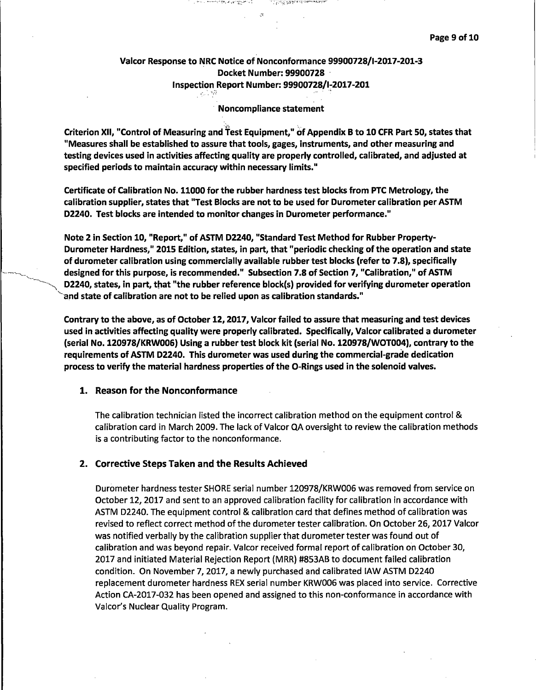# Valcor Response to NRC Notice of Nonconformance 99900728/1-2017-201-3 Docket Number: 99900728 · Inspection Report Number: 99900728/1-2017-201 $^{\circ}$

 $\mathcal{R}$ 

그 건 공년학원 실험적으로 이상에 대해 보여 주어야

그 자꾸 고 가지 어디 있다. 왜 남자 집안 어디요?

### · Noncompliance statement

Criterion XII, "Control of Measuring and Test Equipment," of Appendix B to 10 CFR Part 50, states that "Measures shall be established to assure that tools, gages, instruments, and other measuring and testing devices used in activities affecting quality are properly controlled, calibrated, and adjusted at specified periods to maintain accuracy within necessary limits."

Certificate of Calibration No. 11000 for the rubber hardness test blocks from PTC Metrology, the calibration supplier, states that "Test Blocks are not to be used for Durometer calibration per ASTM D2240. Test blocks are intended to monitor changes in Durometer performance."

Note 2 in Section 10, "Report," of ASTM D2240, "Standard Test Method for Rubber Property-Durometer Hardness," 2015 Edition, states, in part, that "periodic checking of the operation and state of durometer calibration using commercially available rubber test blocks (refer to 7 .8), specifically designed for this purpose, is recommended." Subsection 7.8 of Section 7, "Calibration," of ASTM D2240, states, in part, that "the rubber reference block(s) provided for verifying durometer operation and state of calibration are not to be relied upon as calibration standards."

**Contrary to the above, as of October 12, 2017, Valcor failed to assure that measuring and test devices used** in **activities affecting quality were properly calibrated. Specifically, Valcor calibrated a durometer (serial No. 120978/KRWOOG) Using a rubber test block kit (serial No. 120978/WOT004), contrary to the requirements of ASTM D2240. This durometer was used during the commercial-grade dedication process to verify the material hardness properties of the 0-Rings used in the solenoid valves.** 

# **1. Reason for the Nonconformance**

The calibration technician listed the incorrect calibration method on the equipment control & calibration card in March 2009. The lack of Valcor QA oversight to review the calibration methods is a contributing factor to the nonconformance.

#### **2. Corrective Steps Taken and the Results Achieved**

Durometer hardness tester SHORE serial number 120978/KRWOOG was removed from service on October 12, 2017 and sent to an approved calibration facility for calibration in accordance with ASTM D2240. The equipment control & calibration card that defines method of calibration was revised to reflect correct method of the durometer tester calibration. On October 26, 2017 Valcor was notified verbally by the calibration supplier that durometer tester was found out of calibration and was beyond repair. Valcor received formal report of calibration on October 30, 2017 and initiated Material Rejection Report (MRR) #853AB to document failed calibration condition. On November 7, 2017, a newly purchased and calibrated IAW ASTM D2240 replacement durometer hardness REX serial number KRW006 was placed into service. Corrective Action CA-2017-032 has been opened and assigned to this non-conformance in accordance with Valcor's Nuclear Quality Program.